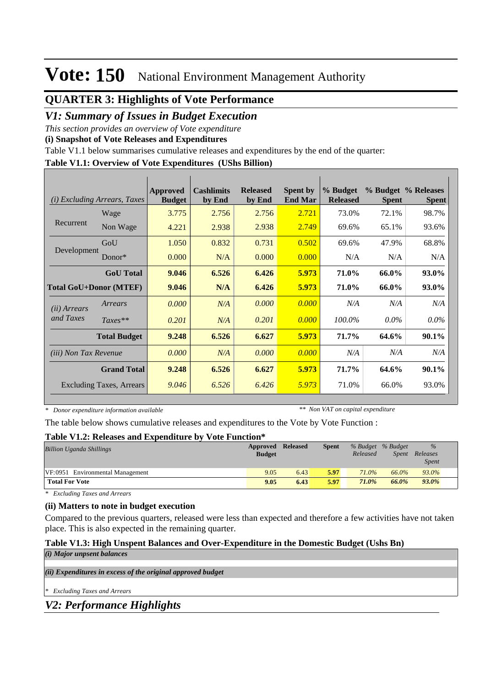## **QUARTER 3: Highlights of Vote Performance**

### *V1: Summary of Issues in Budget Execution*

*This section provides an overview of Vote expenditure* 

**(i) Snapshot of Vote Releases and Expenditures**

Table V1.1 below summarises cumulative releases and expenditures by the end of the quarter:

#### **Table V1.1: Overview of Vote Expenditures (UShs Billion)**

| (i)                           | <i>Excluding Arrears, Taxes</i> | Approved<br><b>Budget</b> | <b>Cashlimits</b><br>by End | <b>Released</b><br>by End | <b>Spent by</b><br><b>End Mar</b> | % Budget<br><b>Released</b> | <b>Spent</b> | % Budget % Releases<br><b>Spent</b> |
|-------------------------------|---------------------------------|---------------------------|-----------------------------|---------------------------|-----------------------------------|-----------------------------|--------------|-------------------------------------|
|                               | Wage                            | 3.775                     | 2.756                       | 2.756                     | 2.721                             | 73.0%                       | 72.1%        | 98.7%                               |
| Recurrent                     | Non Wage                        | 4.221                     | 2.938                       | 2.938                     | 2.749                             | 69.6%                       | 65.1%        | 93.6%                               |
|                               | GoU                             | 1.050                     | 0.832                       | 0.731                     | 0.502                             | 69.6%                       | 47.9%        | 68.8%                               |
| Development                   | $Donor*$                        | 0.000                     | N/A                         | 0.000                     | 0.000                             | N/A                         | N/A          | N/A                                 |
|                               | <b>GoU</b> Total                | 9.046                     | 6.526                       | 6.426                     | 5.973                             | 71.0%                       | 66.0%        | 93.0%                               |
| <b>Total GoU+Donor (MTEF)</b> |                                 | 9.046                     | N/A                         | 6.426                     | 5.973                             | 71.0%                       | 66.0%        | 93.0%                               |
| ( <i>ii</i> ) Arrears         | Arrears                         | 0.000                     | N/A                         | 0.000                     | 0.000                             | N/A                         | N/A          | N/A                                 |
| and Taxes                     | $Taxes**$                       | 0.201                     | N/A                         | 0.201                     | 0.000                             | 100.0%                      | $0.0\%$      | $0.0\%$                             |
|                               | <b>Total Budget</b>             | 9.248                     | 6.526                       | 6.627                     | 5.973                             | 71.7%                       | 64.6%        | $90.1\%$                            |
| <i>(iii)</i> Non Tax Revenue  |                                 | 0.000                     | N/A                         | 0.000                     | 0.000                             | N/A                         | N/A          | N/A                                 |
|                               | <b>Grand Total</b>              | 9.248                     | 6.526                       | 6.627                     | 5.973                             | 71.7%                       | 64.6%        | $90.1\%$                            |
|                               | <b>Excluding Taxes, Arrears</b> | 9.046                     | 6.526                       | 6.426                     | 5.973                             | 71.0%                       | 66.0%        | 93.0%                               |

*\* Donor expenditure information available*

*\*\* Non VAT on capital expenditure*

The table below shows cumulative releases and expenditures to the Vote by Vote Function :

#### **Table V1.2: Releases and Expenditure by Vote Function\***

| <b>Billion Uganda Shillings</b>  | Approved      | <b>Released</b> | <b>Spent</b> | % Budget % Budget |              | $\%$         |  |
|----------------------------------|---------------|-----------------|--------------|-------------------|--------------|--------------|--|
|                                  | <b>Budget</b> |                 |              | Released          | <i>Spent</i> | Releases     |  |
|                                  |               |                 |              |                   |              | <i>Spent</i> |  |
| VF:0951 Environmental Management | 9.05          | 6.43            | 5.97         | 71.0%             | 66.0%        | 93.0%        |  |
| <b>Total For Vote</b>            | 9.05          | 6.43            | 5.97         | 71.0%             | 66.0%        | 93.0%        |  |

*\* Excluding Taxes and Arrears*

### **(ii) Matters to note in budget execution**

Compared to the previous quarters, released were less than expected and therefore a few activities have not taken place. This is also expected in the remaining quarter.

### **Table V1.3: High Unspent Balances and Over-Expenditure in the Domestic Budget (Ushs Bn)**

*(ii) Expenditures in excess of the original approved budget (i) Major unpsent balances \* Excluding Taxes and Arrears*

*V2: Performance Highlights*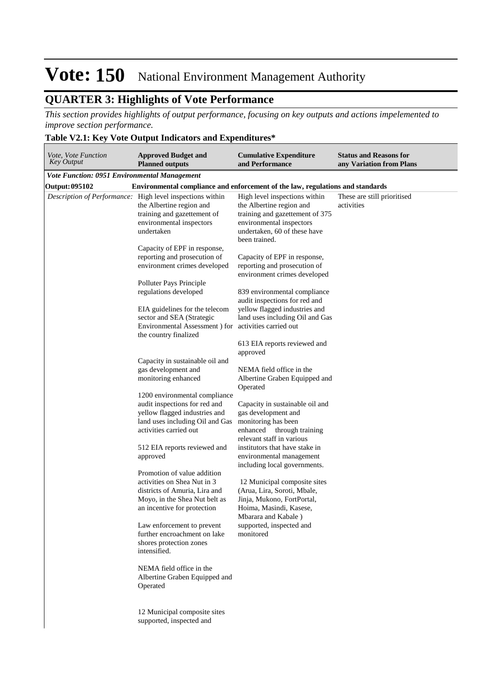## **QUARTER 3: Highlights of Vote Performance**

*This section provides highlights of output performance, focusing on key outputs and actions impelemented to improve section performance.*

### **Table V2.1: Key Vote Output Indicators and Expenditures\***

| Vote, Vote Function<br>Key Output                   | <b>Approved Budget and</b><br><b>Planned outputs</b>                                                                                                           | <b>Cumulative Expenditure</b><br>and Performance                                                                                                                          | <b>Status and Reasons for</b><br>any Variation from Plans |
|-----------------------------------------------------|----------------------------------------------------------------------------------------------------------------------------------------------------------------|---------------------------------------------------------------------------------------------------------------------------------------------------------------------------|-----------------------------------------------------------|
| <b>Vote Function: 0951 Environmental Management</b> |                                                                                                                                                                |                                                                                                                                                                           |                                                           |
| <b>Output: 095102</b>                               | Environmental compliance and enforcement of the law, regulations and standards                                                                                 |                                                                                                                                                                           |                                                           |
|                                                     | Description of Performance: High level inspections within<br>the Albertine region and<br>training and gazettement of<br>environmental inspectors<br>undertaken | High level inspections within<br>the Albertine region and<br>training and gazettement of 375<br>environmental inspectors<br>undertaken, 60 of these have<br>been trained. | These are still prioritised<br>activities                 |
|                                                     | Capacity of EPF in response,<br>reporting and prosecution of<br>environment crimes developed                                                                   | Capacity of EPF in response,<br>reporting and prosecution of<br>environment crimes developed                                                                              |                                                           |
|                                                     | Polluter Pays Principle<br>regulations developed                                                                                                               | 839 environmental compliance<br>audit inspections for red and                                                                                                             |                                                           |
|                                                     | EIA guidelines for the telecom<br>sector and SEA (Strategic<br>Environmental Assessment ) for activities carried out<br>the country finalized                  | yellow flagged industries and<br>land uses including Oil and Gas                                                                                                          |                                                           |
|                                                     |                                                                                                                                                                | 613 EIA reports reviewed and<br>approved                                                                                                                                  |                                                           |
|                                                     | Capacity in sustainable oil and<br>gas development and<br>monitoring enhanced                                                                                  | NEMA field office in the<br>Albertine Graben Equipped and<br>Operated                                                                                                     |                                                           |
|                                                     | 1200 environmental compliance<br>audit inspections for red and<br>yellow flagged industries and<br>land uses including Oil and Gas<br>activities carried out   | Capacity in sustainable oil and<br>gas development and<br>monitoring has been<br>enhanced<br>through training<br>relevant staff in various                                |                                                           |
|                                                     | 512 EIA reports reviewed and<br>approved                                                                                                                       | institutors that have stake in<br>environmental management<br>including local governments.                                                                                |                                                           |
|                                                     | Promotion of value addition<br>activities on Shea Nut in 3<br>districts of Amuria, Lira and<br>Moyo, in the Shea Nut belt as<br>an incentive for protection    | 12 Municipal composite sites<br>(Arua, Lira, Soroti, Mbale,<br>Jinja, Mukono, FortPortal,<br>Hoima, Masindi, Kasese,<br>Mbarara and Kabale)                               |                                                           |
|                                                     | Law enforcement to prevent<br>further encroachment on lake<br>shores protection zones<br>intensified.                                                          | supported, inspected and<br>monitored                                                                                                                                     |                                                           |
|                                                     | NEMA field office in the<br>Albertine Graben Equipped and<br>Operated                                                                                          |                                                                                                                                                                           |                                                           |
|                                                     | 12 Municipal composite sites<br>supported, inspected and                                                                                                       |                                                                                                                                                                           |                                                           |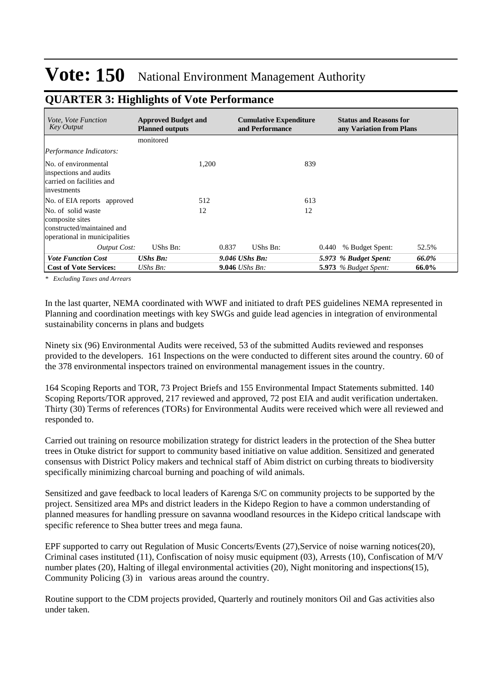| <i>Vote. Vote Function</i><br>Key Output                                                             | <b>Approved Budget and</b><br><b>Planned outputs</b> |       | <b>Cumulative Expenditure</b><br>and Performance | <b>Status and Reasons for</b><br>any Variation from Plans |       |
|------------------------------------------------------------------------------------------------------|------------------------------------------------------|-------|--------------------------------------------------|-----------------------------------------------------------|-------|
|                                                                                                      | monitored                                            |       |                                                  |                                                           |       |
| Performance Indicators:                                                                              |                                                      |       |                                                  |                                                           |       |
| No. of environmental<br>inspections and audits<br>carried on facilities and<br>investments           | 1.200                                                |       | 839                                              |                                                           |       |
| No. of EIA reports approved                                                                          | 512                                                  |       | 613                                              |                                                           |       |
| No. of solid waste<br>composite sites<br>constructed/maintained and<br>operational in municipalities | 12                                                   |       | 12                                               |                                                           |       |
| Output Cost:                                                                                         | UShs Bn:                                             | 0.837 | UShs Bn:                                         | % Budget Spent:<br>0.440                                  | 52.5% |
| <b>Vote Function Cost</b>                                                                            | <b>UShs Bn:</b>                                      |       | $9.046$ UShs Bn:                                 | 5.973 % Budget Spent:                                     | 66.0% |
| <b>Cost of Vote Services:</b>                                                                        | UShs $Bn$ :                                          |       | <b>9.046</b> <i>UShs Bn:</i>                     | <b>5.973</b> % Budget Spent:                              | 66.0% |

## **QUARTER 3: Highlights of Vote Performance**

*\* Excluding Taxes and Arrears*

In the last quarter, NEMA coordinated with WWF and initiated to draft PES guidelines NEMA represented in Planning and coordination meetings with key SWGs and guide lead agencies in integration of environmental sustainability concerns in plans and budgets

Ninety six (96) Environmental Audits were received, 53 of the submitted Audits reviewed and responses provided to the developers. 161 Inspections on the were conducted to different sites around the country. 60 of the 378 environmental inspectors trained on environmental management issues in the country.

164 Scoping Reports and TOR, 73 Project Briefs and 155 Environmental Impact Statements submitted. 140 Scoping Reports/TOR approved, 217 reviewed and approved, 72 post EIA and audit verification undertaken. Thirty (30) Terms of references (TORs) for Environmental Audits were received which were all reviewed and responded to.

Carried out training on resource mobilization strategy for district leaders in the protection of the Shea butter trees in Otuke district for support to community based initiative on value addition. Sensitized and generated consensus with District Policy makers and technical staff of Abim district on curbing threats to biodiversity specifically minimizing charcoal burning and poaching of wild animals.

Sensitized and gave feedback to local leaders of Karenga S/C on community projects to be supported by the project. Sensitized area MPs and district leaders in the Kidepo Region to have a common understanding of planned measures for handling pressure on savanna woodland resources in the Kidepo critical landscape with specific reference to Shea butter trees and mega fauna.

EPF supported to carry out Regulation of Music Concerts/Events (27),Service of noise warning notices(20), Criminal cases instituted (11), Confiscation of noisy music equipment (03), Arrests (10), Confiscation of M/V number plates (20), Halting of illegal environmental activities (20), Night monitoring and inspections(15), Community Policing (3) in various areas around the country.

Routine support to the CDM projects provided, Quarterly and routinely monitors Oil and Gas activities also under taken.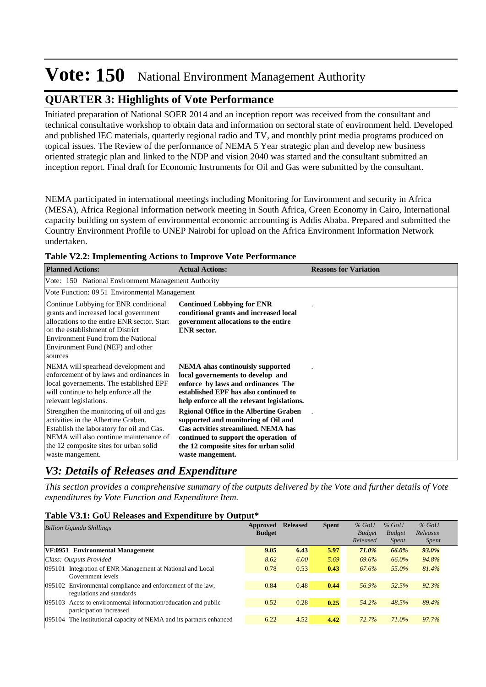## **QUARTER 3: Highlights of Vote Performance**

Initiated preparation of National SOER 2014 and an inception report was received from the consultant and technical consultative workshop to obtain data and information on sectoral state of environment held. Developed and published IEC materials, quarterly regional radio and TV, and monthly print media programs produced on topical issues. The Review of the performance of NEMA 5 Year strategic plan and develop new business oriented strategic plan and linked to the NDP and vision 2040 was started and the consultant submitted an inception report. Final draft for Economic Instruments for Oil and Gas were submitted by the consultant.

NEMA participated in international meetings including Monitoring for Environment and security in Africa (MESA), Africa Regional information network meeting in South Africa, Green Economy in Cairo, International capacity building on system of environmental economic accounting is Addis Ababa. Prepared and submitted the Country Environment Profile to UNEP Nairobi for upload on the Africa Environment Information Network undertaken.

| <b>Planned Actions:</b>                                                                                                                                                                                                                                | <b>Actual Actions:</b>                                                                                                                                                                                                                    | <b>Reasons for Variation</b> |
|--------------------------------------------------------------------------------------------------------------------------------------------------------------------------------------------------------------------------------------------------------|-------------------------------------------------------------------------------------------------------------------------------------------------------------------------------------------------------------------------------------------|------------------------------|
| Vote: 150 National Environment Management Authority                                                                                                                                                                                                    |                                                                                                                                                                                                                                           |                              |
| Vote Function: 09.51 Environmental Management                                                                                                                                                                                                          |                                                                                                                                                                                                                                           |                              |
| Continue Lobbying for ENR conditional<br>grants and increased local government<br>allocations to the entire ENR sector. Start<br>on the establishment of District<br>Environment Fund from the National<br>Environment Fund (NEF) and other<br>sources | <b>Continued Lobbying for ENR</b><br>conditional grants and increased local<br>government allocations to the entire<br><b>ENR</b> sector.                                                                                                 |                              |
| NEMA will spearhead development and<br>enforcement of by laws and ordinances in<br>local governements. The established EPF<br>will continue to help enforce all the<br>relevant legislations.                                                          | <b>NEMA</b> ahas continually supported<br>local governements to develop and<br>enforce by laws and ordinances The<br>established EPF has also continued to<br>help enforce all the relevant legislations.                                 |                              |
| Strengthen the monitoring of oil and gas<br>activities in the Albertine Graben.<br>Establish the laboratory for oil and Gas.<br>NEMA will also continue maintenance of<br>the 12 composite sites for urban solid<br>waste mangement.                   | <b>Rgional Office in the Albertine Graben</b><br>supported and monitoring of Oil and<br><b>Gas actvities streamlined. NEMA has</b><br>continued to support the operation of<br>the 12 composite sites for urban solid<br>waste mangement. |                              |

**Table V2.2: Implementing Actions to Improve Vote Performance**

## *V3: Details of Releases and Expenditure*

*This section provides a comprehensive summary of the outputs delivered by the Vote and further details of Vote expenditures by Vote Function and Expenditure Item.*

#### **Table V3.1: GoU Releases and Expenditure by Output\***

| <b>Billion Uganda Shillings</b>                                     | Approved<br><b>Budget</b> | <b>Released</b> | <b>Spent</b> | $%$ GoU<br><b>Budget</b><br>Released | $%$ GoU<br><b>Budget</b><br><i>Spent</i> | $%$ GoU<br>Releases<br><i>Spent</i> |
|---------------------------------------------------------------------|---------------------------|-----------------|--------------|--------------------------------------|------------------------------------------|-------------------------------------|
| VF:0951 Environmental Management                                    | 9.05                      | 6.43            | 5.97         | 71.0%                                | 66.0%                                    | 93.0%                               |
| Class: Outputs Provided                                             | 8.62                      | 6.00            | 5.69         | 69.6%                                | 66.0%                                    | 94.8%                               |
| Integration of ENR Management at National and Local<br>095101       | 0.78                      | 0.53            | 0.43         | 67.6%                                | 55.0%                                    | 81.4%                               |
| Government levels                                                   |                           |                 |              |                                      |                                          |                                     |
| 095102 Environmental compliance and enforcement of the law,         | 0.84                      | 0.48            | 0.44         | 56.9%                                | 52.5%                                    | 92.3%                               |
| regulations and standards                                           |                           |                 |              |                                      |                                          |                                     |
| 095103 Acess to environmental information/education and public      | 0.52                      | 0.28            | 0.25         | 54.2%                                | 48.5%                                    | 89.4%                               |
| participation increased                                             |                           |                 |              |                                      |                                          |                                     |
| 095104 The institutional capacity of NEMA and its partners enhanced | 6.22                      | 4.52            | 4.42         | 72.7%                                | 71.0%                                    | 97.7%                               |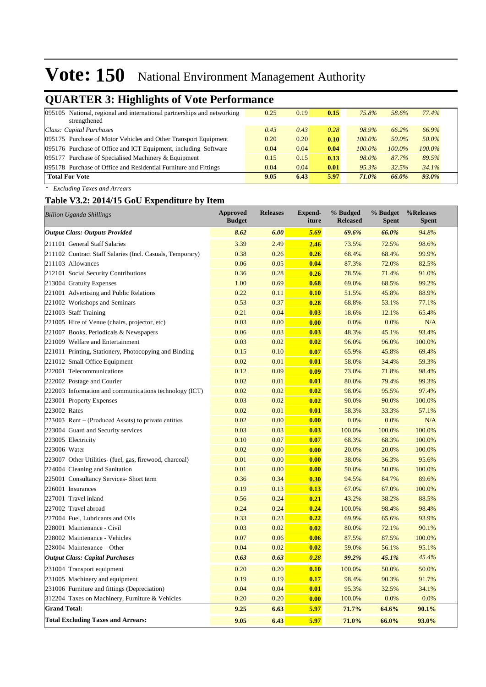## **QUARTER 3: Highlights of Vote Performance**

| . .                                                                     |      |      |      |           |           |          |
|-------------------------------------------------------------------------|------|------|------|-----------|-----------|----------|
| 095105 National, regional and international partnerships and networking | 0.25 | 0.19 | 0.15 | 75.8%     | 58.6%     | 77.4%    |
| strengthened                                                            |      |      |      |           |           |          |
| Class: Capital Purchases                                                | 0.43 | 0.43 | 0.28 | 98.9%     | 66.2%     | 66.9%    |
| 095175 Purchase of Motor Vehicles and Other Transport Equipment         | 0.20 | 0.20 | 0.10 | $100.0\%$ | 50.0%     | 50.0%    |
| 095176 Purchase of Office and ICT Equipment, including Software         | 0.04 | 0.04 | 0.04 | 100.0%    | $100.0\%$ | 100.0%   |
| 095177 Purchase of Specialised Machinery & Equipment                    | 0.15 | 0.15 | 0.13 | 98.0%     | 87.7%     | 89.5%    |
| 095178 Purchase of Office and Residential Furniture and Fittings        | 0.04 | 0.04 | 0.01 | 95.3%     | 32.5%     | 34.1%    |
| <b>Total For Vote</b>                                                   | 9.05 | 6.43 | 5.97 | 71.0%     | 66.0%     | $93.0\%$ |
|                                                                         |      |      |      |           |           |          |

*\* Excluding Taxes and Arrears*

### **Table V3.2: 2014/15 GoU Expenditure by Item**

| <b>Billion Uganda Shillings</b>                           | <b>Approved</b><br><b>Budget</b> | <b>Releases</b> | <b>Expend-</b><br>iture | % Budged<br><b>Released</b> | % Budget<br><b>Spent</b> | %Releases<br><b>Spent</b> |
|-----------------------------------------------------------|----------------------------------|-----------------|-------------------------|-----------------------------|--------------------------|---------------------------|
| <b>Output Class: Outputs Provided</b>                     | 8.62                             | 6.00            | 5.69                    | 69.6%                       | 66.0%                    | 94.8%                     |
| 211101 General Staff Salaries                             | 3.39                             | 2.49            | 2.46                    | 73.5%                       | 72.5%                    | 98.6%                     |
| 211102 Contract Staff Salaries (Incl. Casuals, Temporary) | 0.38                             | 0.26            | 0.26                    | 68.4%                       | 68.4%                    | 99.9%                     |
| 211103 Allowances                                         | 0.06                             | 0.05            | 0.04                    | 87.3%                       | 72.0%                    | 82.5%                     |
| 212101 Social Security Contributions                      | 0.36                             | 0.28            | 0.26                    | 78.5%                       | 71.4%                    | 91.0%                     |
| 213004 Gratuity Expenses                                  | 1.00                             | 0.69            | 0.68                    | 69.0%                       | 68.5%                    | 99.2%                     |
| 221001 Advertising and Public Relations                   | 0.22                             | 0.11            | 0.10                    | 51.5%                       | 45.8%                    | 88.9%                     |
| 221002 Workshops and Seminars                             | 0.53                             | 0.37            | 0.28                    | 68.8%                       | 53.1%                    | 77.1%                     |
| 221003 Staff Training                                     | 0.21                             | 0.04            | 0.03                    | 18.6%                       | 12.1%                    | 65.4%                     |
| 221005 Hire of Venue (chairs, projector, etc)             | 0.03                             | 0.00            | 0.00                    | 0.0%                        | 0.0%                     | N/A                       |
| 221007 Books, Periodicals & Newspapers                    | 0.06                             | 0.03            | 0.03                    | 48.3%                       | 45.1%                    | 93.4%                     |
| 221009 Welfare and Entertainment                          | 0.03                             | 0.02            | 0.02                    | 96.0%                       | 96.0%                    | 100.0%                    |
| 221011 Printing, Stationery, Photocopying and Binding     | 0.15                             | 0.10            | 0.07                    | 65.9%                       | 45.8%                    | 69.4%                     |
| 221012 Small Office Equipment                             | 0.02                             | 0.01            | 0.01                    | 58.0%                       | 34.4%                    | 59.3%                     |
| 222001 Telecommunications                                 | 0.12                             | 0.09            | 0.09                    | 73.0%                       | 71.8%                    | 98.4%                     |
| 222002 Postage and Courier                                | 0.02                             | 0.01            | 0.01                    | 80.0%                       | 79.4%                    | 99.3%                     |
| 222003 Information and communications technology (ICT)    | 0.02                             | 0.02            | 0.02                    | 98.0%                       | 95.5%                    | 97.4%                     |
| 223001 Property Expenses                                  | 0.03                             | 0.02            | 0.02                    | 90.0%                       | 90.0%                    | 100.0%                    |
| 223002 Rates                                              | 0.02                             | 0.01            | 0.01                    | 58.3%                       | 33.3%                    | 57.1%                     |
| $223003$ Rent – (Produced Assets) to private entities     | 0.02                             | 0.00            | 0.00                    | 0.0%                        | 0.0%                     | N/A                       |
| 223004 Guard and Security services                        | 0.03                             | 0.03            | 0.03                    | 100.0%                      | 100.0%                   | 100.0%                    |
| 223005 Electricity                                        | 0.10                             | 0.07            | 0.07                    | 68.3%                       | 68.3%                    | 100.0%                    |
| 223006 Water                                              | 0.02                             | 0.00            | 0.00                    | 20.0%                       | 20.0%                    | 100.0%                    |
| 223007 Other Utilities- (fuel, gas, firewood, charcoal)   | 0.01                             | 0.00            | 0.00                    | 38.0%                       | 36.3%                    | 95.6%                     |
| 224004 Cleaning and Sanitation                            | 0.01                             | 0.00            | 0.00                    | 50.0%                       | 50.0%                    | 100.0%                    |
| 225001 Consultancy Services- Short term                   | 0.36                             | 0.34            | 0.30                    | 94.5%                       | 84.7%                    | 89.6%                     |
| 226001 Insurances                                         | 0.19                             | 0.13            | 0.13                    | 67.0%                       | 67.0%                    | 100.0%                    |
| 227001 Travel inland                                      | 0.56                             | 0.24            | 0.21                    | 43.2%                       | 38.2%                    | 88.5%                     |
| 227002 Travel abroad                                      | 0.24                             | 0.24            | 0.24                    | 100.0%                      | 98.4%                    | 98.4%                     |
| 227004 Fuel, Lubricants and Oils                          | 0.33                             | 0.23            | 0.22                    | 69.9%                       | 65.6%                    | 93.9%                     |
| 228001 Maintenance - Civil                                | 0.03                             | 0.02            | 0.02                    | 80.0%                       | 72.1%                    | 90.1%                     |
| 228002 Maintenance - Vehicles                             | 0.07                             | 0.06            | 0.06                    | 87.5%                       | 87.5%                    | 100.0%                    |
| 228004 Maintenance – Other                                | 0.04                             | 0.02            | 0.02                    | 59.0%                       | 56.1%                    | 95.1%                     |
| <b>Output Class: Capital Purchases</b>                    | 0.63                             | 0.63            | 0.28                    | 99.2%                       | 45.1%                    | 45.4%                     |
| 231004 Transport equipment                                | 0.20                             | 0.20            | 0.10                    | 100.0%                      | 50.0%                    | 50.0%                     |
| 231005 Machinery and equipment                            | 0.19                             | 0.19            | 0.17                    | 98.4%                       | 90.3%                    | 91.7%                     |
| 231006 Furniture and fittings (Depreciation)              | 0.04                             | 0.04            | 0.01                    | 95.3%                       | 32.5%                    | 34.1%                     |
| 312204 Taxes on Machinery, Furniture & Vehicles           | 0.20                             | 0.20            | 0.00                    | 100.0%                      | 0.0%                     | 0.0%                      |
| <b>Grand Total:</b>                                       | 9.25                             | 6.63            | 5.97                    | 71.7%                       | 64.6%                    | 90.1%                     |
| <b>Total Excluding Taxes and Arrears:</b>                 | 9.05                             | 6.43            | 5.97                    | 71.0%                       | 66.0%                    | 93.0%                     |